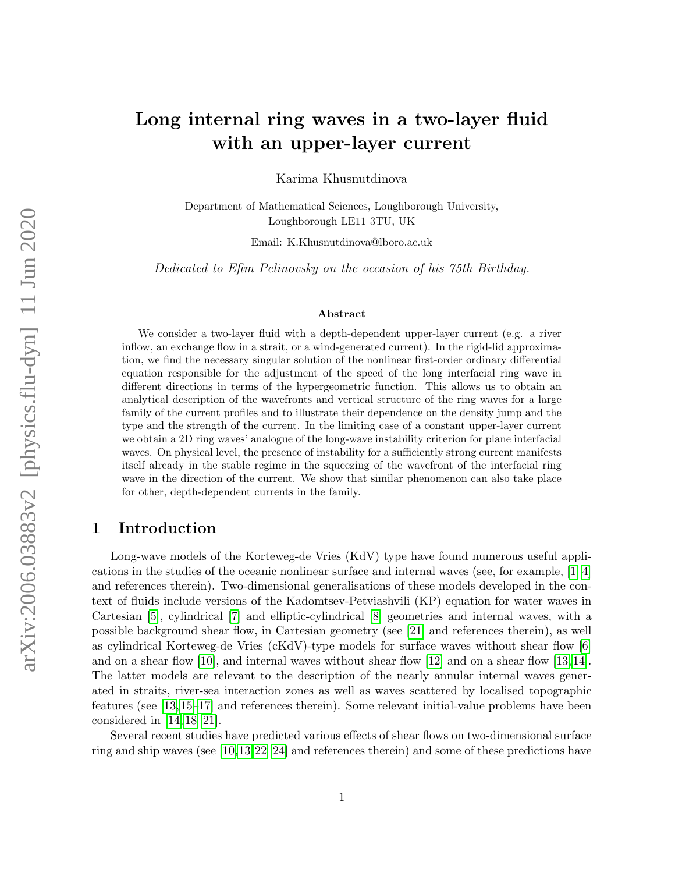# Long internal ring waves in a two-layer fluid with an upper-layer current

Karima Khusnutdinova

Department of Mathematical Sciences, Loughborough University, Loughborough LE11 3TU, UK

Email: K.Khusnutdinova@lboro.ac.uk

Dedicated to Efim Pelinovsky on the occasion of his 75th Birthday.

#### Abstract

We consider a two-layer fluid with a depth-dependent upper-layer current (e.g. a river inflow, an exchange flow in a strait, or a wind-generated current). In the rigid-lid approximation, we find the necessary singular solution of the nonlinear first-order ordinary differential equation responsible for the adjustment of the speed of the long interfacial ring wave in different directions in terms of the hypergeometric function. This allows us to obtain an analytical description of the wavefronts and vertical structure of the ring waves for a large family of the current profiles and to illustrate their dependence on the density jump and the type and the strength of the current. In the limiting case of a constant upper-layer current we obtain a 2D ring waves' analogue of the long-wave instability criterion for plane interfacial waves. On physical level, the presence of instability for a sufficiently strong current manifests itself already in the stable regime in the squeezing of the wavefront of the interfacial ring wave in the direction of the current. We show that similar phenomenon can also take place for other, depth-dependent currents in the family.

### 1 Introduction

Long-wave models of the Korteweg-de Vries (KdV) type have found numerous useful applications in the studies of the oceanic nonlinear surface and internal waves (see, for example, [\[1–](#page-14-0)[4\]](#page-15-0) and references therein). Two-dimensional generalisations of these models developed in the context of fluids include versions of the Kadomtsev-Petviashvili (KP) equation for water waves in Cartesian [\[5\]](#page-15-1), cylindrical [\[7\]](#page-15-2) and elliptic-cylindrical [\[8\]](#page-15-3) geometries and internal waves, with a possible background shear flow, in Cartesian geometry (see [\[21\]](#page-15-4) and references therein), as well as cylindrical Korteweg-de Vries (cKdV)-type models for surface waves without shear flow [\[6\]](#page-15-5) and on a shear flow [\[10\]](#page-15-6), and internal waves without shear flow [\[12\]](#page-15-7) and on a shear flow [\[13,](#page-15-8) [14\]](#page-15-9). The latter models are relevant to the description of the nearly annular internal waves generated in straits, river-sea interaction zones as well as waves scattered by localised topographic features (see [\[13,](#page-15-8) [15–](#page-15-10)[17\]](#page-15-11) and references therein). Some relevant initial-value problems have been considered in [\[14,](#page-15-9) [18–](#page-15-12)[21\]](#page-15-4).

Several recent studies have predicted various effects of shear flows on two-dimensional surface ring and ship waves (see [\[10,](#page-15-6)[13,](#page-15-8)[22–](#page-16-0)[24\]](#page-16-1) and references therein) and some of these predictions have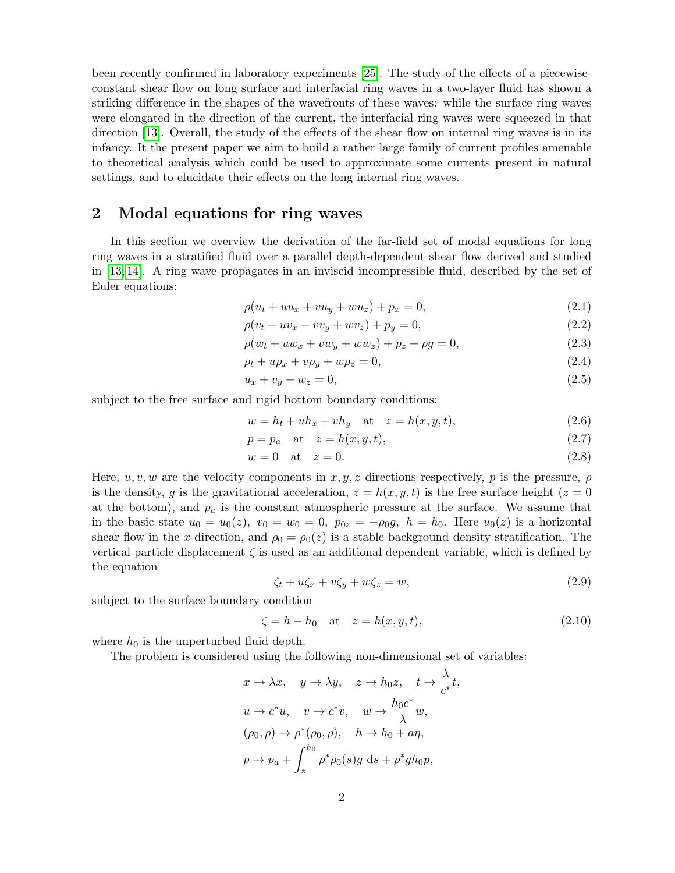been recently confirmed in laboratory experiments [\[25\]](#page-16-2). The study of the effects of a piecewiseconstant shear flow on long surface and interfacial ring waves in a two-layer fluid has shown a striking difference in the shapes of the wavefronts of these waves: while the surface ring waves were elongated in the direction of the current, the interfacial ring waves were squeezed in that direction [\[13\]](#page-15-8). Overall, the study of the effects of the shear flow on internal ring waves is in its infancy. It the present paper we aim to build a rather large family of current profiles amenable to theoretical analysis which could be used to approximate some currents present in natural settings, and to elucidate their effects on the long internal ring waves.

# 2 Modal equations for ring waves

In this section we overview the derivation of the far-field set of modal equations for long ring waves in a stratified fluid over a parallel depth-dependent shear flow derived and studied in [\[13,](#page-15-8) [14\]](#page-15-9). A ring wave propagates in an inviscid incompressible fluid, described by the set of Euler equations:

$$
\rho(u_t + uu_x + vu_y + wu_z) + p_x = 0,\t\t(2.1)
$$

$$
\rho(v_t + uv_x + vv_y + wv_z) + p_y = 0,\t\t(2.2)
$$

$$
\rho(w_t + uw_x + vw_y + ww_z) + p_z + \rho g = 0,
$$
\n(2.3)

$$
\rho_t + u\rho_x + v\rho_y + w\rho_z = 0,\tag{2.4}
$$

$$
u_x + v_y + w_z = 0,\t\t(2.5)
$$

subject to the free surface and rigid bottom boundary conditions:

$$
w = h_t + uh_x + vh_y \quad \text{at} \quad z = h(x, y, t), \tag{2.6}
$$

$$
p = p_a \quad \text{at} \quad z = h(x, y, t), \tag{2.7}
$$

$$
w = 0 \quad \text{at} \quad z = 0. \tag{2.8}
$$

Here,  $u, v, w$  are the velocity components in  $x, y, z$  directions respectively, p is the pressure,  $\rho$ is the density, g is the gravitational acceleration,  $z = h(x, y, t)$  is the free surface height  $(z = 0$ at the bottom), and  $p_a$  is the constant atmospheric pressure at the surface. We assume that in the basic state  $u_0 = u_0(z)$ ,  $v_0 = w_0 = 0$ ,  $p_{0z} = -\rho_0 g$ ,  $h = h_0$ . Here  $u_0(z)$  is a horizontal shear flow in the x-direction, and  $\rho_0 = \rho_0(z)$  is a stable background density stratification. The vertical particle displacement  $\zeta$  is used as an additional dependent variable, which is defined by the equation

$$
\zeta_t + u\zeta_x + v\zeta_y + w\zeta_z = w,\tag{2.9}
$$

subject to the surface boundary condition

$$
\zeta = h - h_0 \quad \text{at} \quad z = h(x, y, t), \tag{2.10}
$$

where  $h_0$  is the unperturbed fluid depth.

The problem is considered using the following non-dimensional set of variables:

$$
x \to \lambda x, \quad y \to \lambda y, \quad z \to h_0 z, \quad t \to \frac{\lambda}{c^*} t,
$$
  

$$
u \to c^* u, \quad v \to c^* v, \quad w \to \frac{h_0 c^*}{\lambda} w,
$$
  

$$
(\rho_0, \rho) \to \rho^* (\rho_0, \rho), \quad h \to h_0 + a\eta,
$$
  

$$
p \to p_a + \int_z^{h_0} \rho^* \rho_0(s) g \, ds + \rho^* g h_0 p,
$$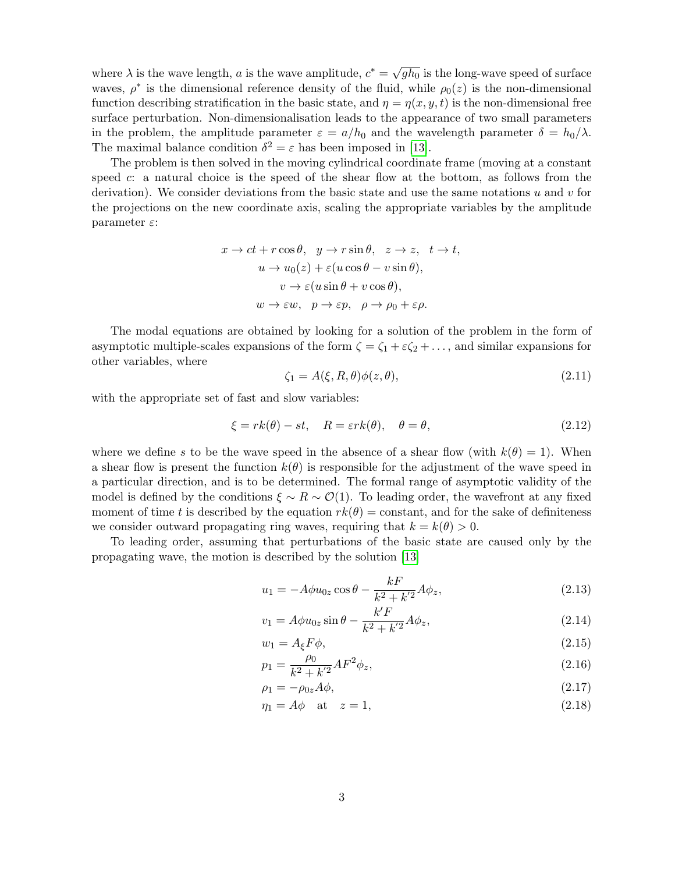where  $\lambda$  is the wave length, a is the wave amplitude,  $c^* = \sqrt{\frac{c^* + \lambda^*}{c^*}}$  $\overline{gh_0}$  is the long-wave speed of surface waves,  $\rho^*$  is the dimensional reference density of the fluid, while  $\rho_0(z)$  is the non-dimensional function describing stratification in the basic state, and  $\eta = \eta(x, y, t)$  is the non-dimensional free surface perturbation. Non-dimensionalisation leads to the appearance of two small parameters in the problem, the amplitude parameter  $\varepsilon = a/h_0$  and the wavelength parameter  $\delta = h_0/\lambda$ . The maximal balance condition  $\delta^2 = \varepsilon$  has been imposed in [\[13\]](#page-15-8).

The problem is then solved in the moving cylindrical coordinate frame (moving at a constant speed c: a natural choice is the speed of the shear flow at the bottom, as follows from the derivation). We consider deviations from the basic state and use the same notations  $u$  and  $v$  for the projections on the new coordinate axis, scaling the appropriate variables by the amplitude parameter  $\varepsilon$ :

$$
x \to ct + r \cos \theta, \quad y \to r \sin \theta, \quad z \to z, \quad t \to t,
$$
  

$$
u \to u_0(z) + \varepsilon (u \cos \theta - v \sin \theta),
$$
  

$$
v \to \varepsilon (u \sin \theta + v \cos \theta),
$$
  

$$
w \to \varepsilon w, \quad p \to \varepsilon p, \quad \rho \to \rho_0 + \varepsilon \rho.
$$

The modal equations are obtained by looking for a solution of the problem in the form of asymptotic multiple-scales expansions of the form  $\zeta = \zeta_1 + \varepsilon \zeta_2 + \ldots$ , and similar expansions for other variables, where

$$
\zeta_1 = A(\xi, R, \theta)\phi(z, \theta),\tag{2.11}
$$

with the appropriate set of fast and slow variables:

$$
\xi = rk(\theta) - st, \quad R = \varepsilon rk(\theta), \quad \theta = \theta,
$$
\n(2.12)

where we define s to be the wave speed in the absence of a shear flow (with  $k(\theta) = 1$ ). When a shear flow is present the function  $k(\theta)$  is responsible for the adjustment of the wave speed in a particular direction, and is to be determined. The formal range of asymptotic validity of the model is defined by the conditions  $\xi \sim R \sim \mathcal{O}(1)$ . To leading order, the wavefront at any fixed moment of time t is described by the equation  $rk(\theta) =$  constant, and for the sake of definiteness we consider outward propagating ring waves, requiring that  $k = k(\theta) > 0$ .

To leading order, assuming that perturbations of the basic state are caused only by the propagating wave, the motion is described by the solution [\[13\]](#page-15-8)

$$
u_1 = -A\phi u_{0z} \cos \theta - \frac{kF}{k^2 + k'^2} A\phi_z, \qquad (2.13)
$$

$$
v_1 = A\phi u_{0z} \sin \theta - \frac{k'F}{k^2 + k'^2} A\phi_z,
$$
\n(2.14)

$$
w_1 = A_{\xi} F \phi, \tag{2.15}
$$

$$
p_1 = \frac{\rho_0}{k^2 + k'^2} A F^2 \phi_z, \tag{2.16}
$$

$$
\rho_1 = -\rho_{0z} A \phi,\tag{2.17}
$$

$$
\eta_1 = A\phi \quad \text{at} \quad z = 1,\tag{2.18}
$$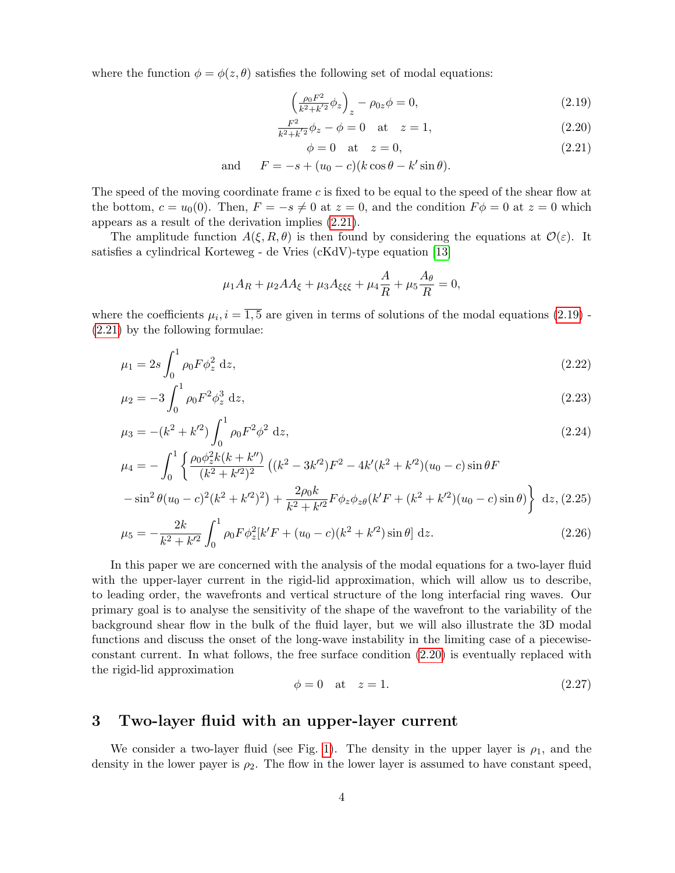where the function  $\phi = \phi(z, \theta)$  satisfies the following set of modal equations:

<span id="page-3-0"></span>
$$
\left(\frac{\rho_0 F^2}{k^2 + k'^2} \phi_z\right)_z - \rho_{0z} \phi = 0,\tag{2.19}
$$

$$
\frac{F^2}{k^2 + k'^2} \phi_z - \phi = 0 \quad \text{at} \quad z = 1,
$$
\n(2.20)

 $\phi = 0$  at  $z = 0$ , (2.21)

and  $F = -s + (u_0 - c)(k \cos \theta - k' \sin \theta).$ 

The speed of the moving coordinate frame c is fixed to be equal to the speed of the shear flow at the bottom,  $c = u_0(0)$ . Then,  $F = -s \neq 0$  at  $z = 0$ , and the condition  $F\phi = 0$  at  $z = 0$  which appears as a result of the derivation implies [\(2.21\)](#page-3-0).

The amplitude function  $A(\xi, R, \theta)$  is then found by considering the equations at  $\mathcal{O}(\varepsilon)$ . It satisfies a cylindrical Korteweg - de Vries (cKdV)-type equation [\[13\]](#page-15-8)

$$
\mu_1 A_R + \mu_2 A A_{\xi} + \mu_3 A_{\xi \xi \xi} + \mu_4 \frac{A}{R} + \mu_5 \frac{A_{\theta}}{R} = 0,
$$

where the coefficients  $\mu_i$ ,  $i = \overline{1, 5}$  are given in terms of solutions of the modal equations [\(2.19\)](#page-3-0) -[\(2.21\)](#page-3-0) by the following formulae:

$$
\mu_1 = 2s \int_0^1 \rho_0 F \phi_z^2 dz,
$$
\n(2.22)

$$
\mu_2 = -3 \int_0^1 \rho_0 F^2 \phi_z^3 \, \mathrm{d}z,\tag{2.23}
$$

$$
\mu_3 = -(k^2 + k'^2) \int_0^1 \rho_0 F^2 \phi^2 dz,
$$
\n(2.24)

$$
\mu_4 = -\int_0^1 \left\{ \frac{\rho_0 \phi_z^2 k(k + k'')}{(k^2 + k'^2)^2} \left( (k^2 - 3k'^2) F^2 - 4k'(k^2 + k'^2) (u_0 - c) \sin \theta F \right. \\ - \sin^2 \theta (u_0 - c)^2 (k^2 + k'^2)^2 \right\} + \frac{2\rho_0 k}{k^2 + k'^2} F \phi_z \phi_{z\theta} (k'F + (k^2 + k'^2) (u_0 - c) \sin \theta) \right\} dz, (2.25)
$$

$$
\mu_5 = -\frac{2k}{k^2 + k'^2} \int_0^1 \rho_0 F \phi_z^2 [k'F + (u_0 - c)(k^2 + k'^2) \sin \theta] dz.
$$
\n(2.26)

In this paper we are concerned with the analysis of the modal equations for a two-layer fluid with the upper-layer current in the rigid-lid approximation, which will allow us to describe, to leading order, the wavefronts and vertical structure of the long interfacial ring waves. Our primary goal is to analyse the sensitivity of the shape of the wavefront to the variability of the background shear flow in the bulk of the fluid layer, but we will also illustrate the 3D modal functions and discuss the onset of the long-wave instability in the limiting case of a piecewiseconstant current. In what follows, the free surface condition [\(2.20\)](#page-3-0) is eventually replaced with the rigid-lid approximation

$$
\phi = 0 \quad \text{at} \quad z = 1. \tag{2.27}
$$

#### 3 Two-layer fluid with an upper-layer current

We consider a two-layer fluid (see Fig. [1\)](#page-4-0). The density in the upper layer is  $\rho_1$ , and the density in the lower payer is  $\rho_2$ . The flow in the lower layer is assumed to have constant speed,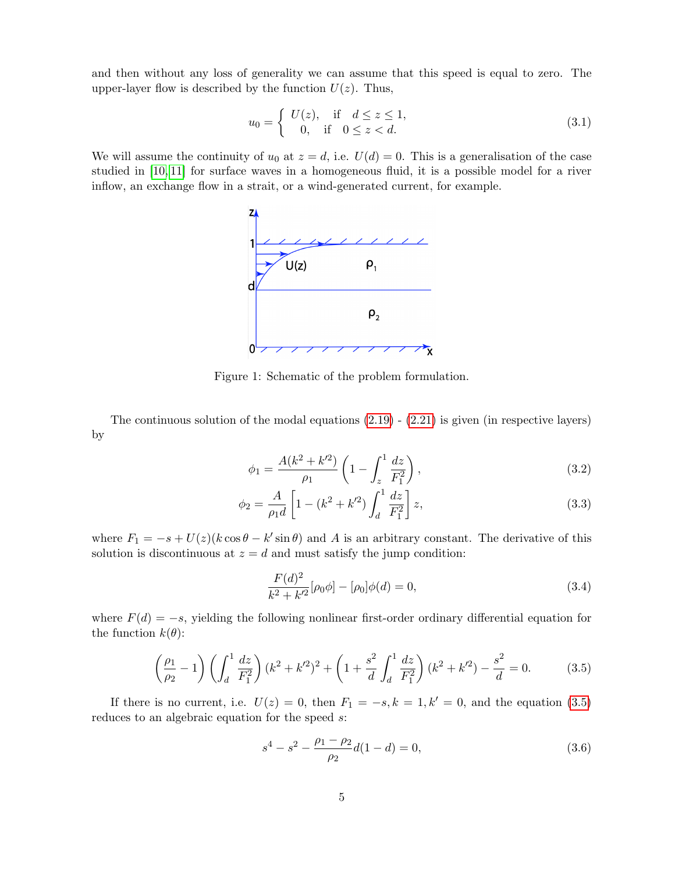and then without any loss of generality we can assume that this speed is equal to zero. The upper-layer flow is described by the function  $U(z)$ . Thus,

$$
u_0 = \begin{cases} U(z), & \text{if } d \le z \le 1, \\ 0, & \text{if } 0 \le z < d. \end{cases}
$$
 (3.1)

<span id="page-4-0"></span>We will assume the continuity of  $u_0$  at  $z = d$ , i.e.  $U(d) = 0$ . This is a generalisation of the case studied in [\[10,](#page-15-6) [11\]](#page-15-13) for surface waves in a homogeneous fluid, it is a possible model for a river inflow, an exchange flow in a strait, or a wind-generated current, for example.



Figure 1: Schematic of the problem formulation.

The continuous solution of the modal equations  $(2.19)$  -  $(2.21)$  is given (in respective layers) by

<span id="page-4-2"></span>
$$
\phi_1 = \frac{A(k^2 + k'^2)}{\rho_1} \left( 1 - \int_z^1 \frac{dz}{F_1^2} \right),\tag{3.2}
$$

$$
\phi_2 = \frac{A}{\rho_1 d} \left[ 1 - (k^2 + k'^2) \int_d^1 \frac{dz}{F_1^2} \right] z,
$$
\n(3.3)

where  $F_1 = -s + U(z) (k \cos \theta - k' \sin \theta)$  and A is an arbitrary constant. The derivative of this solution is discontinuous at  $z = d$  and must satisfy the jump condition:

<span id="page-4-3"></span>
$$
\frac{F(d)^2}{k^2 + k'^2} [\rho_0 \phi] - [\rho_0] \phi(d) = 0,
$$
\n(3.4)

where  $F(d) = -s$ , yielding the following nonlinear first-order ordinary differential equation for the function  $k(\theta)$ :

<span id="page-4-1"></span>
$$
\left(\frac{\rho_1}{\rho_2} - 1\right) \left(\int_d^1 \frac{dz}{F_1^2}\right) (k^2 + k'^2)^2 + \left(1 + \frac{s^2}{d} \int_d^1 \frac{dz}{F_1^2}\right) (k^2 + k'^2) - \frac{s^2}{d} = 0. \tag{3.5}
$$

If there is no current, i.e.  $U(z) = 0$ , then  $F_1 = -s, k = 1, k' = 0$ , and the equation [\(3.5\)](#page-4-1) reduces to an algebraic equation for the speed s:

$$
s^4 - s^2 - \frac{\rho_1 - \rho_2}{\rho_2} d(1 - d) = 0,
$$
\n(3.6)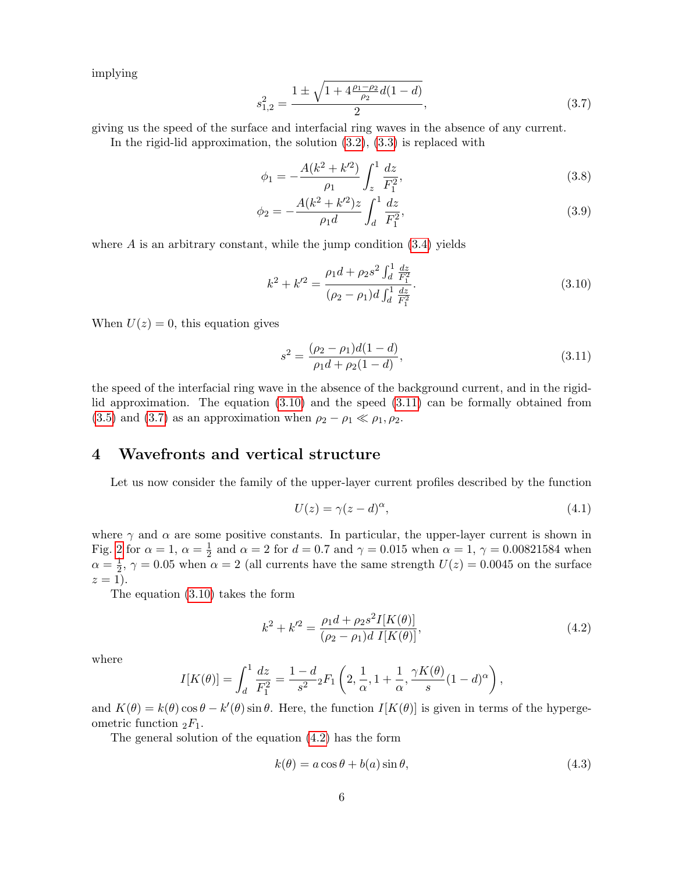implying

<span id="page-5-2"></span>
$$
s_{1,2}^2 = \frac{1 \pm \sqrt{1 + 4\frac{\rho_1 - \rho_2}{\rho_2}d(1 - d)}}{2},\tag{3.7}
$$

giving us the speed of the surface and interfacial ring waves in the absence of any current.

In the rigid-lid approximation, the solution  $(3.2)$ ,  $(3.3)$  is replaced with

<span id="page-5-5"></span>
$$
\phi_1 = -\frac{A(k^2 + k'^2)}{\rho_1} \int_z^1 \frac{dz}{F_1^2},\tag{3.8}
$$

$$
\phi_2 = -\frac{A(k^2 + k'^2)z}{\rho_1 d} \int_d^1 \frac{dz}{F_1^2},\tag{3.9}
$$

where  $\vec{A}$  is an arbitrary constant, while the jump condition  $(3.4)$  yields

<span id="page-5-0"></span>
$$
k^{2} + k'^{2} = \frac{\rho_{1}d + \rho_{2}s^{2} \int_{d}^{1} \frac{dz}{F_{1}^{2}}}{(\rho_{2} - \rho_{1})d \int_{d}^{1} \frac{dz}{F_{1}^{2}}}.
$$
\n(3.10)

When  $U(z) = 0$ , this equation gives

<span id="page-5-1"></span>
$$
s^{2} = \frac{(\rho_{2} - \rho_{1})d(1 - d)}{\rho_{1}d + \rho_{2}(1 - d)},
$$
\n(3.11)

the speed of the interfacial ring wave in the absence of the background current, and in the rigidlid approximation. The equation [\(3.10\)](#page-5-0) and the speed [\(3.11\)](#page-5-1) can be formally obtained from [\(3.5\)](#page-4-1) and [\(3.7\)](#page-5-2) as an approximation when  $\rho_2 - \rho_1 \ll \rho_1, \rho_2$ .

## 4 Wavefronts and vertical structure

Let us now consider the family of the upper-layer current profiles described by the function

<span id="page-5-4"></span>
$$
U(z) = \gamma (z - d)^{\alpha},\tag{4.1}
$$

where  $\gamma$  and  $\alpha$  are some positive constants. In particular, the upper-layer current is shown in Fig. [2](#page-6-0) for  $\alpha = 1, \alpha = \frac{1}{2}$  $\frac{1}{2}$  and  $\alpha = 2$  for  $d = 0.7$  and  $\gamma = 0.015$  when  $\alpha = 1, \gamma = 0.00821584$  when  $\alpha = \frac{1}{2}$  $\frac{1}{2}$ ,  $\gamma = 0.05$  when  $\alpha = 2$  (all currents have the same strength  $U(z) = 0.0045$  on the surface  $z=1$ ).

The equation [\(3.10\)](#page-5-0) takes the form

<span id="page-5-3"></span>
$$
k^{2} + k'^{2} = \frac{\rho_{1}d + \rho_{2}s^{2}I[K(\theta)]}{(\rho_{2} - \rho_{1})d I[K(\theta)]},
$$
\n(4.2)

where

$$
I[K(\theta)] = \int_d^1 \frac{dz}{F_1^2} = \frac{1-d}{s^2} {}_2F_1\left(2, \frac{1}{\alpha}, 1 + \frac{1}{\alpha}, \frac{\gamma K(\theta)}{s} (1 - d)^{\alpha}\right),
$$

and  $K(\theta) = k(\theta) \cos \theta - k'(\theta) \sin \theta$ . Here, the function  $I[K(\theta)]$  is given in terms of the hypergeometric function  ${}_2F_1$ .

The general solution of the equation [\(4.2\)](#page-5-3) has the form

<span id="page-5-6"></span>
$$
k(\theta) = a\cos\theta + b(a)\sin\theta,\tag{4.3}
$$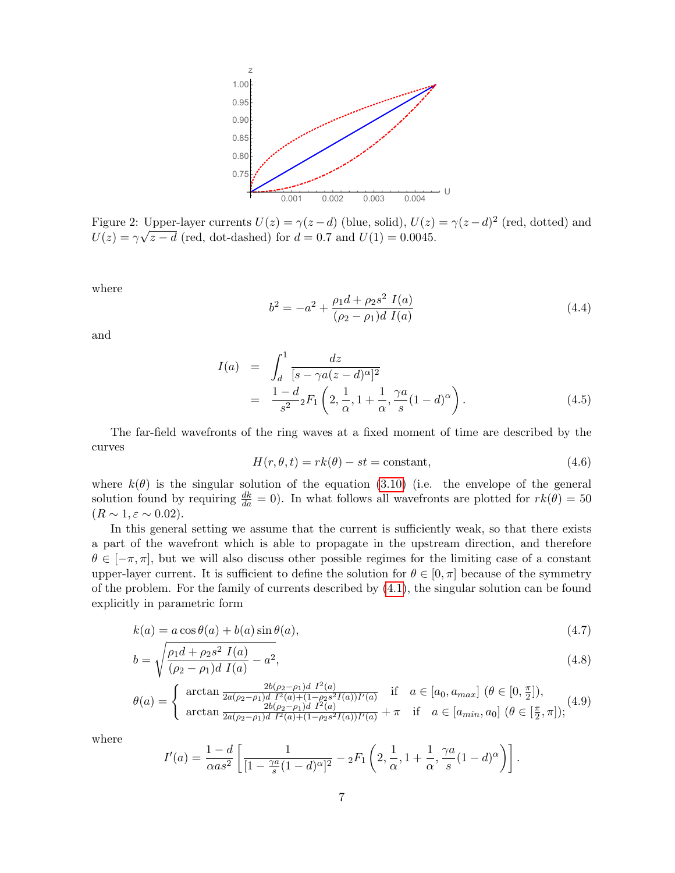<span id="page-6-0"></span>

Figure 2: Upper-layer currents  $U(z) = \gamma(z-d)$  (blue, solid),  $U(z) = \gamma(z-d)^2$  (red, dotted) and  $U(z) = \gamma \sqrt{z} - d$  (red, dot-dashed) for  $d = 0.7$  and  $U(1) = 0.0045$ .

where

<span id="page-6-1"></span>
$$
b^{2} = -a^{2} + \frac{\rho_{1}d + \rho_{2}s^{2} I(a)}{(\rho_{2} - \rho_{1})d I(a)}
$$
\n(4.4)

and

$$
I(a) = \int_{d}^{1} \frac{dz}{[s - \gamma a(z - d)^{\alpha}]^{2}}
$$
  
= 
$$
\frac{1 - d}{s^{2}} F_{1} \left( 2, \frac{1}{\alpha}, 1 + \frac{1}{\alpha}, \frac{\gamma a}{s} (1 - d)^{\alpha} \right).
$$
 (4.5)

The far-field wavefronts of the ring waves at a fixed moment of time are described by the curves

$$
H(r, \theta, t) = rk(\theta) - st = \text{constant},\tag{4.6}
$$

where  $k(\theta)$  is the singular solution of the equation [\(3.10\)](#page-5-0) (i.e. the envelope of the general solution found by requiring  $\frac{dk}{da} = 0$ . In what follows all wavefronts are plotted for  $rk(\theta) = 50$  $(R \sim 1, \varepsilon \sim 0.02).$ 

In this general setting we assume that the current is sufficiently weak, so that there exists a part of the wavefront which is able to propagate in the upstream direction, and therefore  $\theta \in [-\pi, \pi]$ , but we will also discuss other possible regimes for the limiting case of a constant upper-layer current. It is sufficient to define the solution for  $\theta \in [0, \pi]$  because of the symmetry of the problem. For the family of currents described by [\(4.1\)](#page-5-4), the singular solution can be found explicitly in parametric form

<span id="page-6-2"></span>
$$
k(a) = a\cos\theta(a) + b(a)\sin\theta(a),\tag{4.7}
$$

$$
b = \sqrt{\frac{\rho_1 d + \rho_2 s^2 I(a)}{(\rho_2 - \rho_1)d I(a)} - a^2},\tag{4.8}
$$

$$
\theta(a) = \begin{cases} \arctan \frac{2b(\rho_2 - \rho_1)d \ I^2(a)}{2a(\rho_2 - \rho_1)d \ I^2(a) + (1 - \rho_2 s^2 I(a))I'(a)} & \text{if } a \in [a_0, a_{max}] \ (\theta \in [0, \frac{\pi}{2}]),\\ \arctan \frac{2b(\rho_2 - \rho_1)d \ I^2(a)}{2a(\rho_2 - \rho_1)d \ I^2(a) + (1 - \rho_2 s^2 I(a))I'(a)} + \pi & \text{if } a \in [a_{min}, a_0] \ (\theta \in [\frac{\pi}{2}, \pi]); \end{cases} (4.9)
$$

where

$$
I'(a) = \frac{1-d}{\alpha as^2} \left[ \frac{1}{[1 - \frac{\gamma a}{s}(1-d)^{\alpha}]^2} - {}_2F_1\left(2, \frac{1}{\alpha}, 1 + \frac{1}{\alpha}, \frac{\gamma a}{s}(1-d)^{\alpha}\right) \right].
$$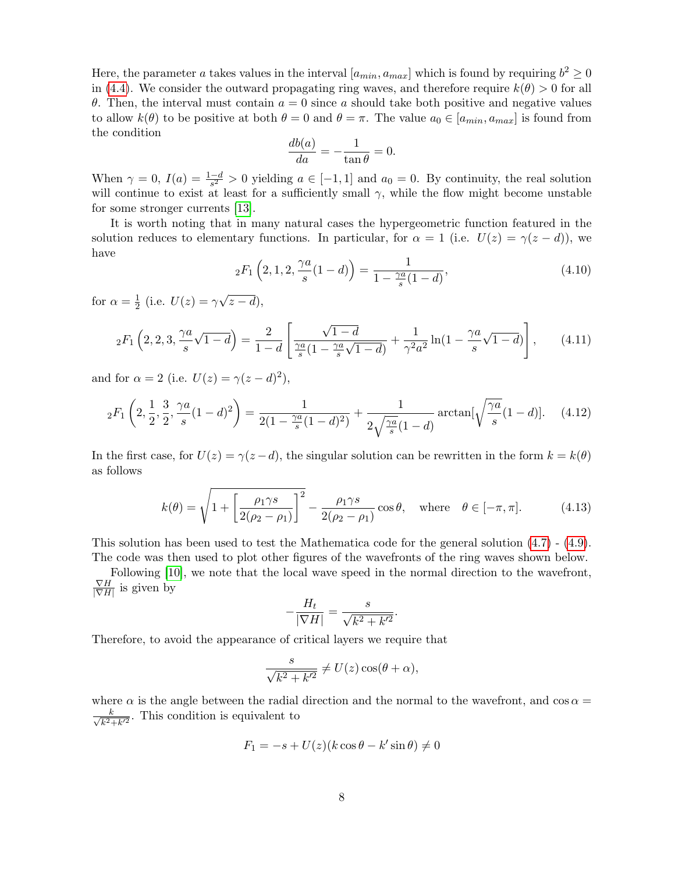Here, the parameter a takes values in the interval  $[a_{min}, a_{max}]$  which is found by requiring  $b^2 \ge 0$ in [\(4.4\)](#page-6-1). We consider the outward propagating ring waves, and therefore require  $k(\theta) > 0$  for all θ. Then, the interval must contain  $a = 0$  since a should take both positive and negative values to allow  $k(\theta)$  to be positive at both  $\theta = 0$  and  $\theta = \pi$ . The value  $a_0 \in [a_{min}, a_{max}]$  is found from the condition

$$
\frac{db(a)}{da} = -\frac{1}{\tan \theta} = 0.
$$

When  $\gamma = 0$ ,  $I(a) = \frac{1-d}{s^2} > 0$  yielding  $a \in [-1, 1]$  and  $a_0 = 0$ . By continuity, the real solution will continue to exist at least for a sufficiently small  $\gamma$ , while the flow might become unstable for some stronger currents [\[13\]](#page-15-8).

It is worth noting that in many natural cases the hypergeometric function featured in the solution reduces to elementary functions. In particular, for  $\alpha = 1$  (i.e.  $U(z) = \gamma(z - d)$ ), we have

$$
{}_2F_1\left(2,1,2,\frac{\gamma a}{s}(1-d)\right) = \frac{1}{1-\frac{\gamma a}{s}(1-d)},\tag{4.10}
$$

for  $\alpha = \frac{1}{2}$  $\frac{1}{2}$  (i.e.  $U(z) = \gamma$ √  $z-d),$ 

$$
{}_2F_1\left(2,2,3,\frac{\gamma a}{s}\sqrt{1-d}\right) = \frac{2}{1-d} \left[ \frac{\sqrt{1-d}}{\frac{\gamma a}{s}(1-\frac{\gamma a}{s}\sqrt{1-d})} + \frac{1}{\gamma^2 a^2} \ln(1-\frac{\gamma a}{s}\sqrt{1-d}) \right],\tag{4.11}
$$

and for  $\alpha = 2$  (i.e.  $U(z) = \gamma(z - d)^2$ ),

$$
{}_2F_1\left(2,\frac{1}{2},\frac{3}{2},\frac{\gamma a}{s}(1-d)^2\right) = \frac{1}{2(1-\frac{\gamma a}{s}(1-d)^2)} + \frac{1}{2\sqrt{\frac{\gamma a}{s}}(1-d)}\arctan[\sqrt{\frac{\gamma a}{s}}(1-d)].\tag{4.12}
$$

In the first case, for  $U(z) = \gamma(z - d)$ , the singular solution can be rewritten in the form  $k = k(\theta)$ as follows

<span id="page-7-0"></span>
$$
k(\theta) = \sqrt{1 + \left[\frac{\rho_1 \gamma s}{2(\rho_2 - \rho_1)}\right]^2} - \frac{\rho_1 \gamma s}{2(\rho_2 - \rho_1)} \cos \theta, \quad \text{where} \quad \theta \in [-\pi, \pi]. \tag{4.13}
$$

.

This solution has been used to test the Mathematica code for the general solution [\(4.7\)](#page-6-2) - [\(4.9\)](#page-6-2). The code was then used to plot other figures of the wavefronts of the ring waves shown below.

Following [\[10\]](#page-15-6), we note that the local wave speed in the normal direction to the wavefront,  $\nabla H$  $\frac{\nabla H}{|\nabla H|}$  is given by

$$
-\frac{H_t}{|\nabla H|} = \frac{s}{\sqrt{k^2 + k'^2}}
$$

Therefore, to avoid the appearance of critical layers we require that

$$
\frac{s}{\sqrt{k^2 + k'^2}} \neq U(z) \cos(\theta + \alpha),
$$

where  $\alpha$  is the angle between the radial direction and the normal to the wavefront, and cos  $\alpha =$  $\frac{k}{\sqrt{2}}$  $\frac{k}{k^2+k^2}$ . This condition is equivalent to

$$
F_1 = -s + U(z)(k \cos \theta - k' \sin \theta) \neq 0
$$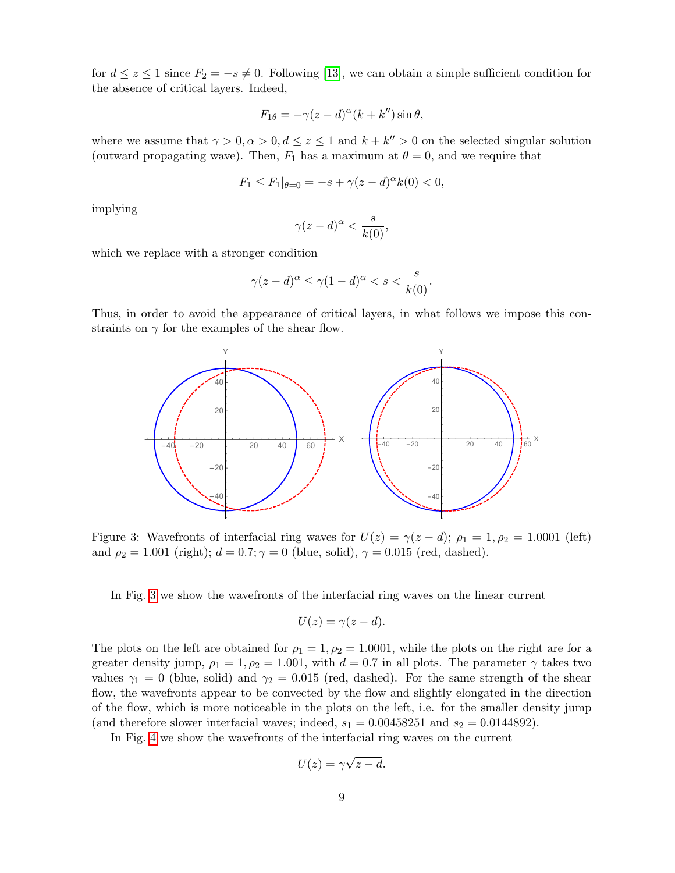for  $d \leq z \leq 1$  since  $F_2 = -s \neq 0$ . Following [\[13\]](#page-15-8), we can obtain a simple sufficient condition for the absence of critical layers. Indeed,

$$
F_{1\theta} = -\gamma(z - d)^{\alpha}(k + k'')\sin\theta,
$$

where we assume that  $\gamma > 0, \alpha > 0, d \leq z \leq 1$  and  $k + k'' > 0$  on the selected singular solution (outward propagating wave). Then,  $F_1$  has a maximum at  $\theta = 0$ , and we require that

$$
F_1 \le F_1|_{\theta=0} = -s + \gamma (z - d)^{\alpha} k(0) < 0,
$$

implying

$$
\gamma(z-d)^{\alpha} < \frac{s}{k(0)},
$$

which we replace with a stronger condition

$$
\gamma(z-d)^{\alpha} \le \gamma(1-d)^{\alpha} < s < \frac{s}{k(0)}.
$$

<span id="page-8-0"></span>Thus, in order to avoid the appearance of critical layers, in what follows we impose this constraints on  $\gamma$  for the examples of the shear flow.



Figure 3: Wavefronts of interfacial ring waves for  $U(z) = \gamma(z - d)$ ;  $\rho_1 = 1, \rho_2 = 1.0001$  (left) and  $\rho_2 = 1.001$  (right);  $d = 0.7; \gamma = 0$  (blue, solid),  $\gamma = 0.015$  (red, dashed).

In Fig. [3](#page-8-0) we show the wavefronts of the interfacial ring waves on the linear current

$$
U(z) = \gamma(z - d).
$$

The plots on the left are obtained for  $\rho_1 = 1, \rho_2 = 1.0001$ , while the plots on the right are for a greater density jump,  $\rho_1 = 1, \rho_2 = 1.001$ , with  $d = 0.7$  in all plots. The parameter  $\gamma$  takes two values  $\gamma_1 = 0$  (blue, solid) and  $\gamma_2 = 0.015$  (red, dashed). For the same strength of the shear flow, the wavefronts appear to be convected by the flow and slightly elongated in the direction of the flow, which is more noticeable in the plots on the left, i.e. for the smaller density jump (and therefore slower interfacial waves; indeed,  $s_1 = 0.00458251$  and  $s_2 = 0.0144892$ ).

In Fig. [4](#page-9-0) we show the wavefronts of the interfacial ring waves on the current

$$
U(z) = \gamma \sqrt{z - d}.
$$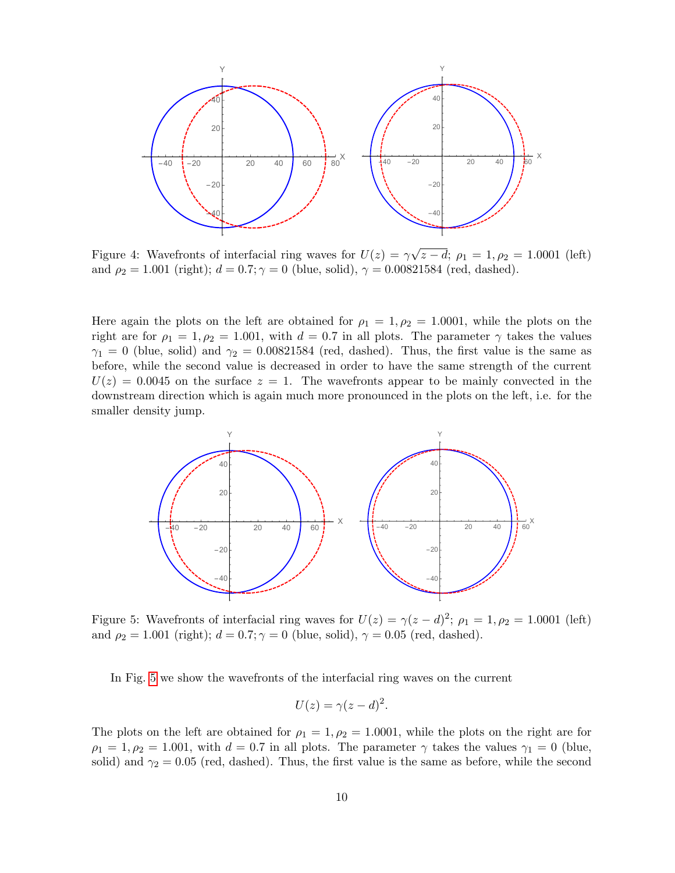<span id="page-9-0"></span>

Figure 4: Wavefronts of interfacial ring waves for  $U(z) = \gamma$  $z - d; \rho_1 = 1, \rho_2 = 1.0001$  (left) and  $\rho_2 = 1.001$  (right);  $d = 0.7; \gamma = 0$  (blue, solid),  $\gamma = 0.00821584$  (red, dashed).

Here again the plots on the left are obtained for  $\rho_1 = 1, \rho_2 = 1.0001$ , while the plots on the right are for  $\rho_1 = 1, \rho_2 = 1.001$ , with  $d = 0.7$  in all plots. The parameter  $\gamma$  takes the values  $\gamma_1 = 0$  (blue, solid) and  $\gamma_2 = 0.00821584$  (red, dashed). Thus, the first value is the same as before, while the second value is decreased in order to have the same strength of the current  $U(z) = 0.0045$  on the surface  $z = 1$ . The wavefronts appear to be mainly convected in the downstream direction which is again much more pronounced in the plots on the left, i.e. for the smaller density jump.

<span id="page-9-1"></span>

Figure 5: Wavefronts of interfacial ring waves for  $U(z) = \gamma(z - d)^2$ ;  $\rho_1 = 1, \rho_2 = 1.0001$  (left) and  $\rho_2 = 1.001$  (right);  $d = 0.7$ ;  $\gamma = 0$  (blue, solid),  $\gamma = 0.05$  (red, dashed).

In Fig. [5](#page-9-1) we show the wavefronts of the interfacial ring waves on the current

$$
U(z) = \gamma(z - d)^2.
$$

The plots on the left are obtained for  $\rho_1 = 1, \rho_2 = 1.0001$ , while the plots on the right are for  $\rho_1 = 1, \rho_2 = 1.001$ , with  $d = 0.7$  in all plots. The parameter  $\gamma$  takes the values  $\gamma_1 = 0$  (blue, solid) and  $\gamma_2 = 0.05$  (red, dashed). Thus, the first value is the same as before, while the second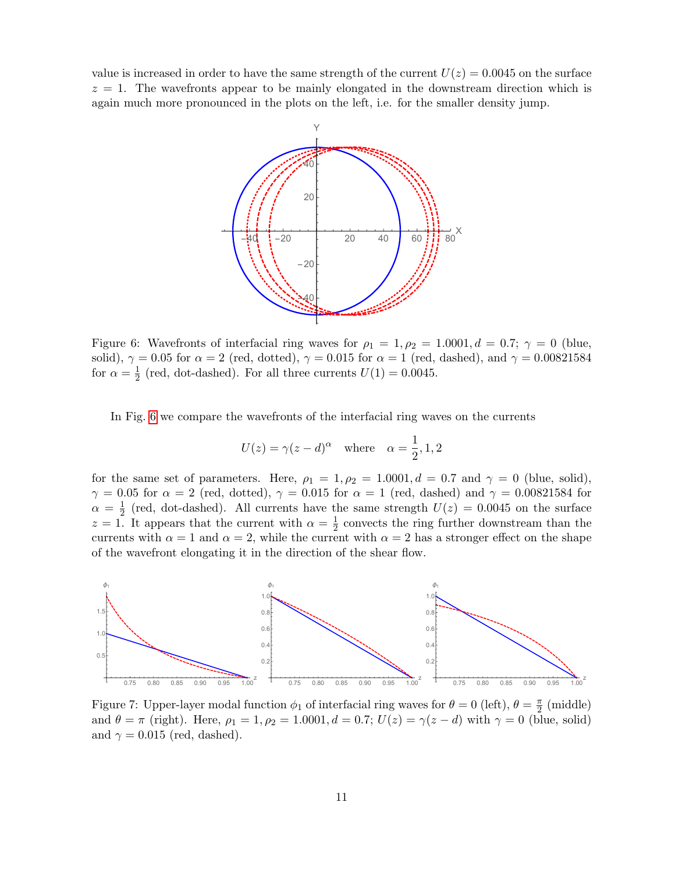<span id="page-10-0"></span>value is increased in order to have the same strength of the current  $U(z) = 0.0045$  on the surface  $z = 1$ . The wavefronts appear to be mainly elongated in the downstream direction which is again much more pronounced in the plots on the left, i.e. for the smaller density jump.



Figure 6: Wavefronts of interfacial ring waves for  $\rho_1 = 1, \rho_2 = 1.0001, d = 0.7; \gamma = 0$  (blue, solid),  $\gamma = 0.05$  for  $\alpha = 2$  (red, dotted),  $\gamma = 0.015$  for  $\alpha = 1$  (red, dashed), and  $\gamma = 0.00821584$ for  $\alpha = \frac{1}{2}$  $\frac{1}{2}$  (red, dot-dashed). For all three currents  $U(1) = 0.0045$ .

In Fig. [6](#page-10-0) we compare the wavefronts of the interfacial ring waves on the currents

$$
U(z) = \gamma(z - d)^{\alpha}
$$
 where  $\alpha = \frac{1}{2}, 1, 2$ 

for the same set of parameters. Here,  $\rho_1 = 1, \rho_2 = 1.0001, d = 0.7$  and  $\gamma = 0$  (blue, solid),  $\gamma = 0.05$  for  $\alpha = 2$  (red, dotted),  $\gamma = 0.015$  for  $\alpha = 1$  (red, dashed) and  $\gamma = 0.00821584$  for  $\alpha = \frac{1}{2}$  $\frac{1}{2}$  (red, dot-dashed). All currents have the same strength  $U(z) = 0.0045$  on the surface  $z=1$ . It appears that the current with  $\alpha=\frac{1}{2}$  $\frac{1}{2}$  convects the ring further downstream than the currents with  $\alpha = 1$  and  $\alpha = 2$ , while the current with  $\alpha = 2$  has a stronger effect on the shape of the wavefront elongating it in the direction of the shear flow.

<span id="page-10-1"></span>

Figure 7: Upper-layer modal function  $\phi_1$  of interfacial ring waves for  $\theta = 0$  (left),  $\theta = \frac{\pi}{2}$  $\frac{\pi}{2}$  (middle) and  $\theta = \pi$  (right). Here,  $\rho_1 = 1, \rho_2 = 1.0001, d = 0.7; U(z) = \gamma(z - d)$  with  $\gamma = 0$  (blue, solid) and  $\gamma = 0.015$  (red, dashed).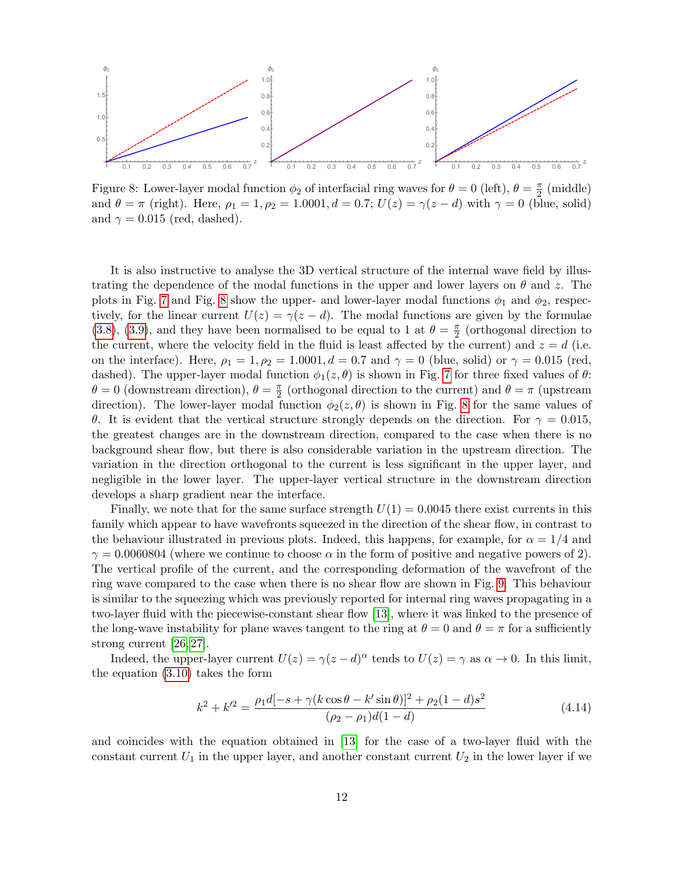<span id="page-11-0"></span>

Figure 8: Lower-layer modal function  $\phi_2$  of interfacial ring waves for  $\theta = 0$  (left),  $\theta = \frac{\pi}{2}$  $\frac{\pi}{2}$  (middle) and  $\theta = \pi$  (right). Here,  $\rho_1 = 1, \rho_2 = 1.0001, d = 0.7; U(z) = \gamma(z - d)$  with  $\gamma = 0$  (blue, solid) and  $\gamma = 0.015$  (red, dashed).

It is also instructive to analyse the 3D vertical structure of the internal wave field by illustrating the dependence of the modal functions in the upper and lower layers on  $\theta$  and z. The plots in Fig. [7](#page-10-1) and Fig. [8](#page-11-0) show the upper- and lower-layer modal functions  $\phi_1$  and  $\phi_2$ , respectively, for the linear current  $U(z) = \gamma(z - d)$ . The modal functions are given by the formulae [\(3.8\)](#page-5-5), [\(3.9\)](#page-5-5), and they have been normalised to be equal to 1 at  $\theta = \frac{\pi}{2}$  $\frac{\pi}{2}$  (orthogonal direction to the current, where the velocity field in the fluid is least affected by the current) and  $z = d$  (i.e. on the interface). Here,  $\rho_1 = 1$ ,  $\rho_2 = 1.0001$ ,  $d = 0.7$  and  $\gamma = 0$  (blue, solid) or  $\gamma = 0.015$  (red, dashed). The upper-layer modal function  $\phi_1(z, \theta)$  is shown in Fig. [7](#page-10-1) for three fixed values of  $\theta$ :  $\theta = 0$  (downstream direction),  $\theta = \frac{\pi}{2}$  $\frac{\pi}{2}$  (orthogonal direction to the current) and  $\theta = \pi$  (upstream direction). The lower-layer modal function  $\phi_2(z,\theta)$  is shown in Fig. [8](#page-11-0) for the same values of θ. It is evident that the vertical structure strongly depends on the direction. For  $\gamma = 0.015$ , the greatest changes are in the downstream direction, compared to the case when there is no background shear flow, but there is also considerable variation in the upstream direction. The variation in the direction orthogonal to the current is less significant in the upper layer, and negligible in the lower layer. The upper-layer vertical structure in the downstream direction develops a sharp gradient near the interface.

Finally, we note that for the same surface strength  $U(1) = 0.0045$  there exist currents in this family which appear to have wavefronts squeezed in the direction of the shear flow, in contrast to the behaviour illustrated in previous plots. Indeed, this happens, for example, for  $\alpha = 1/4$  and  $\gamma = 0.0060804$  (where we continue to choose  $\alpha$  in the form of positive and negative powers of 2). The vertical profile of the current, and the corresponding deformation of the wavefront of the ring wave compared to the case when there is no shear flow are shown in Fig. [9.](#page-12-0) This behaviour is similar to the squeezing which was previously reported for internal ring waves propagating in a two-layer fluid with the piecewise-constant shear flow [\[13\]](#page-15-8), where it was linked to the presence of the long-wave instability for plane waves tangent to the ring at  $\theta = 0$  and  $\theta = \pi$  for a sufficiently strong current [\[26,](#page-16-3) [27\]](#page-16-4).

Indeed, the upper-layer current  $U(z) = \gamma(z - d)^{\alpha}$  tends to  $U(z) = \gamma$  as  $\alpha \to 0$ . In this limit, the equation [\(3.10\)](#page-5-0) takes the form

<span id="page-11-1"></span>
$$
k^{2} + k'^{2} = \frac{\rho_{1}d[-s + \gamma(k\cos\theta - k'\sin\theta)]^{2} + \rho_{2}(1 - d)s^{2}}{(\rho_{2} - \rho_{1})d(1 - d)}
$$
(4.14)

and coincides with the equation obtained in [\[13\]](#page-15-8) for the case of a two-layer fluid with the constant current  $U_1$  in the upper layer, and another constant current  $U_2$  in the lower layer if we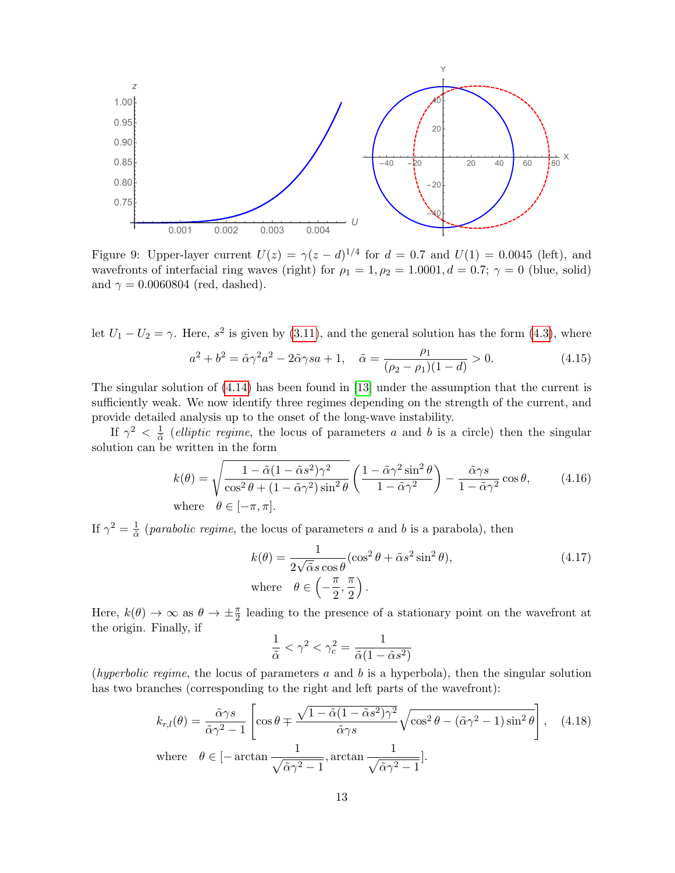<span id="page-12-0"></span>

Figure 9: Upper-layer current  $U(z) = \gamma(z-d)^{1/4}$  for  $d = 0.7$  and  $U(1) = 0.0045$  (left), and wavefronts of interfacial ring waves (right) for  $\rho_1 = 1, \rho_2 = 1.0001, d = 0.7; \gamma = 0$  (blue, solid) and  $\gamma = 0.0060804$  (red, dashed).

let  $U_1 - U_2 = \gamma$ . Here,  $s^2$  is given by [\(3.11\)](#page-5-1), and the general solution has the form [\(4.3\)](#page-5-6), where  $a^2 + b^2 = \tilde{\alpha}\gamma^2 a^2 - 2\tilde{\alpha}\gamma s a + 1, \quad \tilde{\alpha} = \frac{\rho_1}{\sqrt{2\pi}}$  $(\rho_2 - \rho_1)(1 - d)$  $(4.15)$ 

The singular solution of [\(4.14\)](#page-11-1) has been found in [\[13\]](#page-15-8) under the assumption that the current is sufficiently weak. We now identify three regimes depending on the strength of the current, and provide detailed analysis up to the onset of the long-wave instability.

If  $\gamma^2 < \frac{1}{\tilde{\delta}}$  $\frac{1}{\tilde{\alpha}}$  (elliptic regime, the locus of parameters a and b is a circle) then the singular solution can be written in the form

<span id="page-12-1"></span>
$$
k(\theta) = \sqrt{\frac{1 - \tilde{\alpha}(1 - \tilde{\alpha}s^2)\gamma^2}{\cos^2\theta + (1 - \tilde{\alpha}\gamma^2)\sin^2\theta}} \left(\frac{1 - \tilde{\alpha}\gamma^2\sin^2\theta}{1 - \tilde{\alpha}\gamma^2}\right) - \frac{\tilde{\alpha}\gamma s}{1 - \tilde{\alpha}\gamma^2}\cos\theta,
$$
 (4.16)  
where  $\theta \in [-\pi, \pi]$ .

If  $\gamma^2 = \frac{1}{\tilde{\alpha}}$  $\frac{1}{\tilde{\alpha}}$  (*parabolic regime*, the locus of parameters a and b is a parabola), then

$$
k(\theta) = \frac{1}{2\sqrt{\tilde{\alpha}}s\cos\theta}(\cos^2\theta + \tilde{\alpha}s^2\sin^2\theta),
$$
  
where  $\theta \in \left(-\frac{\pi}{2}, \frac{\pi}{2}\right).$  (4.17)

Here,  $k(\theta) \to \infty$  as  $\theta \to \pm \frac{\pi}{2}$  leading to the presence of a stationary point on the wavefront at the origin. Finally, if

$$
\frac{1}{\tilde{\alpha}} < \gamma^2 < \gamma_c^2 = \frac{1}{\tilde{\alpha}(1 - \tilde{\alpha}s^2)}
$$

(hyperbolic regime, the locus of parameters  $a$  and  $b$  is a hyperbola), then the singular solution has two branches (corresponding to the right and left parts of the wavefront):

<span id="page-12-2"></span>
$$
k_{r,l}(\theta) = \frac{\tilde{\alpha}\gamma s}{\tilde{\alpha}\gamma^2 - 1} \left[ \cos\theta \mp \frac{\sqrt{1 - \tilde{\alpha}(1 - \tilde{\alpha}s^2)\gamma^2}}{\tilde{\alpha}\gamma s} \sqrt{\cos^2\theta - (\tilde{\alpha}\gamma^2 - 1)\sin^2\theta} \right], \quad (4.18)
$$
  
where  $\theta \in [-\arctan\frac{1}{\sqrt{\tilde{\alpha}\gamma^2 - 1}}, \arctan\frac{1}{\sqrt{\tilde{\alpha}\gamma^2 - 1}}].$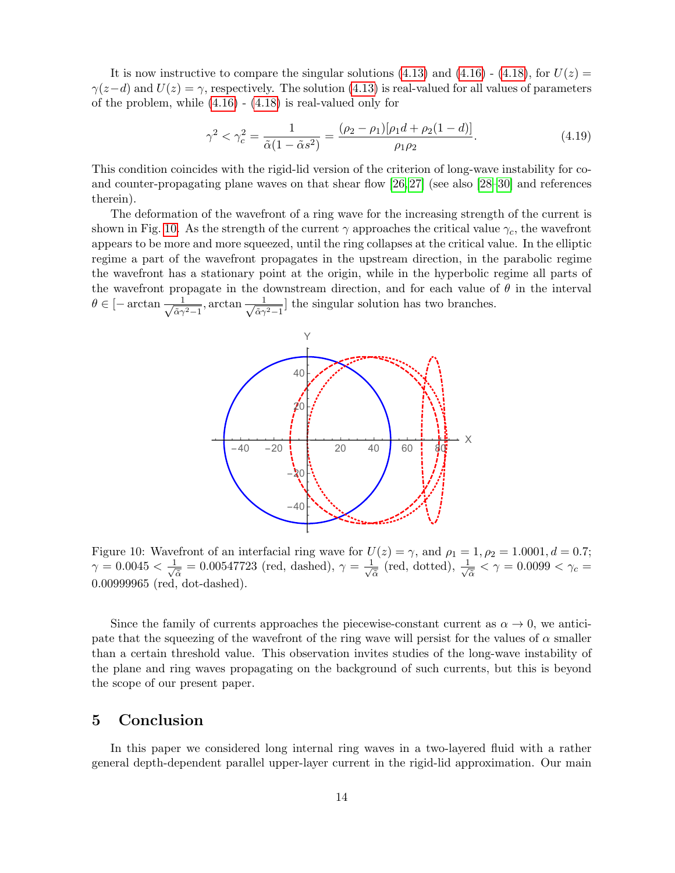It is now instructive to compare the singular solutions [\(4.13\)](#page-7-0) and [\(4.16\)](#page-12-1) - [\(4.18\)](#page-12-2), for  $U(z) =$  $\gamma(z-d)$  and  $U(z) = \gamma$ , respectively. The solution [\(4.13\)](#page-7-0) is real-valued for all values of parameters of the problem, while [\(4.16\)](#page-12-1) - [\(4.18\)](#page-12-2) is real-valued only for

$$
\gamma^2 < \gamma_c^2 = \frac{1}{\tilde{\alpha}(1 - \tilde{\alpha}s^2)} = \frac{(\rho_2 - \rho_1)[\rho_1d + \rho_2(1 - d)]}{\rho_1\rho_2}.\tag{4.19}
$$

This condition coincides with the rigid-lid version of the criterion of long-wave instability for coand counter-propagating plane waves on that shear flow [\[26,](#page-16-3) [27\]](#page-16-4) (see also [\[28–](#page-16-5)[30\]](#page-16-6) and references therein).

The deformation of the wavefront of a ring wave for the increasing strength of the current is shown in Fig. [10.](#page-13-0) As the strength of the current  $\gamma$  approaches the critical value  $\gamma_c$ , the wavefront appears to be more and more squeezed, until the ring collapses at the critical value. In the elliptic regime a part of the wavefront propagates in the upstream direction, in the parabolic regime the wavefront has a stationary point at the origin, while in the hyperbolic regime all parts of the wavefront propagate in the downstream direction, and for each value of  $\theta$  in the interval  $\theta \in \left[-\arctan \frac{1}{\sqrt{2}}\right]$  $\frac{1}{\tilde{\alpha}\gamma^2-1}$ , arctan  $\frac{1}{\sqrt{\tilde{\alpha}\gamma}}$  $\frac{1}{\tilde{\alpha}\gamma^2-1}$  the singular solution has two branches.

<span id="page-13-0"></span>

Figure 10: Wavefront of an interfacial ring wave for  $U(z) = \gamma$ , and  $\rho_1 = 1, \rho_2 = 1.0001, d = 0.7;$  $\gamma = 0.0045 < \frac{1}{\sqrt{2}}$  $\frac{1}{\tilde{\alpha}} = 0.00547723$  (red, dashed),  $\gamma = \frac{1}{\sqrt{6}}$  $\frac{1}{\tilde{\alpha}}$  (red, dotted),  $\frac{1}{\sqrt{d}}$  $\frac{1}{\tilde{\alpha}} < \gamma = 0.0099 < \gamma_c =$ 0.00999965 (red, dot-dashed).

Since the family of currents approaches the piecewise-constant current as  $\alpha \to 0$ , we anticipate that the squeezing of the wavefront of the ring wave will persist for the values of  $\alpha$  smaller than a certain threshold value. This observation invites studies of the long-wave instability of the plane and ring waves propagating on the background of such currents, but this is beyond the scope of our present paper.

#### 5 Conclusion

In this paper we considered long internal ring waves in a two-layered fluid with a rather general depth-dependent parallel upper-layer current in the rigid-lid approximation. Our main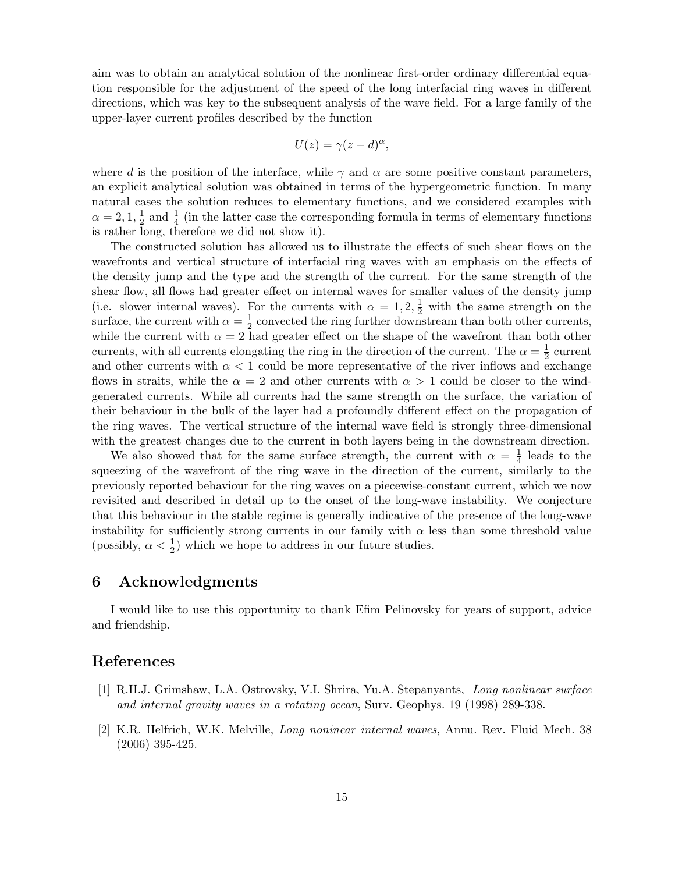aim was to obtain an analytical solution of the nonlinear first-order ordinary differential equation responsible for the adjustment of the speed of the long interfacial ring waves in different directions, which was key to the subsequent analysis of the wave field. For a large family of the upper-layer current profiles described by the function

$$
U(z) = \gamma (z - d)^{\alpha},
$$

where d is the position of the interface, while  $\gamma$  and  $\alpha$  are some positive constant parameters, an explicit analytical solution was obtained in terms of the hypergeometric function. In many natural cases the solution reduces to elementary functions, and we considered examples with  $\alpha = 2, 1, \frac{1}{2}$  $\frac{1}{2}$  and  $\frac{1}{4}$  (in the latter case the corresponding formula in terms of elementary functions is rather long, therefore we did not show it).

The constructed solution has allowed us to illustrate the effects of such shear flows on the wavefronts and vertical structure of interfacial ring waves with an emphasis on the effects of the density jump and the type and the strength of the current. For the same strength of the shear flow, all flows had greater effect on internal waves for smaller values of the density jump (i.e. slower internal waves). For the currents with  $\alpha = 1, 2, \frac{1}{2}$  with the same strength on the surface, the current with  $\alpha = \frac{1}{2}$  $\frac{1}{2}$  convected the ring further downstream than both other currents, while the current with  $\alpha = 2$  had greater effect on the shape of the wavefront than both other currents, with all currents elongating the ring in the direction of the current. The  $\alpha = \frac{1}{2}$  $\frac{1}{2}$  current and other currents with  $\alpha < 1$  could be more representative of the river inflows and exchange flows in straits, while the  $\alpha = 2$  and other currents with  $\alpha > 1$  could be closer to the windgenerated currents. While all currents had the same strength on the surface, the variation of their behaviour in the bulk of the layer had a profoundly different effect on the propagation of the ring waves. The vertical structure of the internal wave field is strongly three-dimensional with the greatest changes due to the current in both layers being in the downstream direction.

We also showed that for the same surface strength, the current with  $\alpha = \frac{1}{4}$  $\frac{1}{4}$  leads to the squeezing of the wavefront of the ring wave in the direction of the current, similarly to the previously reported behaviour for the ring waves on a piecewise-constant current, which we now revisited and described in detail up to the onset of the long-wave instability. We conjecture that this behaviour in the stable regime is generally indicative of the presence of the long-wave instability for sufficiently strong currents in our family with  $\alpha$  less than some threshold value (possibly,  $\alpha < \frac{1}{2}$ ) which we hope to address in our future studies.

#### 6 Acknowledgments

I would like to use this opportunity to thank Efim Pelinovsky for years of support, advice and friendship.

### References

- <span id="page-14-0"></span>[1] R.H.J. Grimshaw, L.A. Ostrovsky, V.I. Shrira, Yu.A. Stepanyants, Long nonlinear surface and internal gravity waves in a rotating ocean, Surv. Geophys. 19 (1998) 289-338.
- [2] K.R. Helfrich, W.K. Melville, Long noninear internal waves, Annu. Rev. Fluid Mech. 38 (2006) 395-425.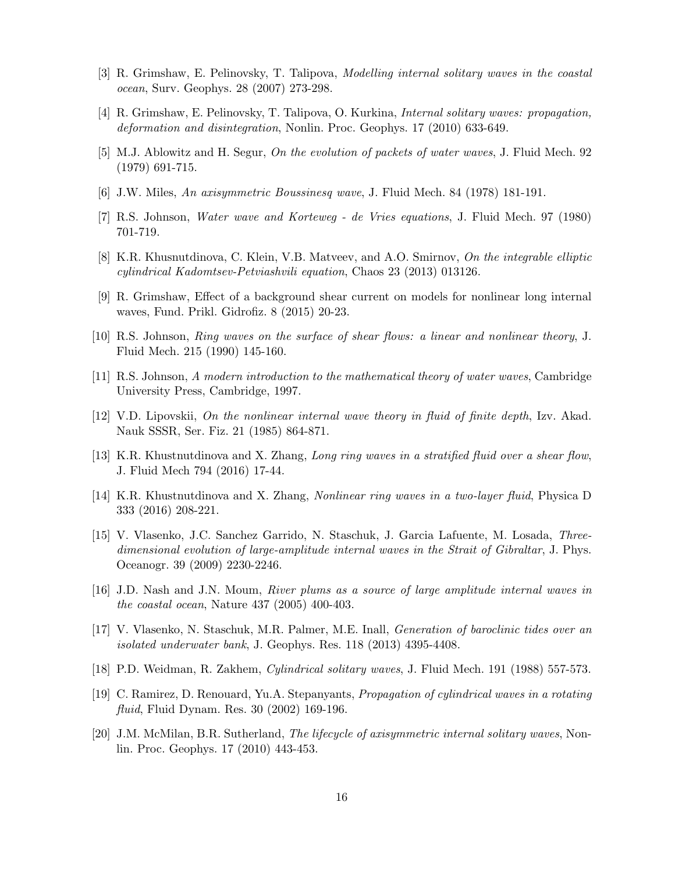- [3] R. Grimshaw, E. Pelinovsky, T. Talipova, Modelling internal solitary waves in the coastal ocean, Surv. Geophys. 28 (2007) 273-298.
- <span id="page-15-0"></span>[4] R. Grimshaw, E. Pelinovsky, T. Talipova, O. Kurkina, Internal solitary waves: propagation, deformation and disintegration, Nonlin. Proc. Geophys. 17 (2010) 633-649.
- <span id="page-15-1"></span>[5] M.J. Ablowitz and H. Segur, On the evolution of packets of water waves, J. Fluid Mech. 92 (1979) 691-715.
- <span id="page-15-5"></span>[6] J.W. Miles, An axisymmetric Boussinesq wave, J. Fluid Mech. 84 (1978) 181-191.
- <span id="page-15-2"></span>[7] R.S. Johnson, Water wave and Korteweg - de Vries equations, J. Fluid Mech. 97 (1980) 701-719.
- <span id="page-15-3"></span>[8] K.R. Khusnutdinova, C. Klein, V.B. Matveev, and A.O. Smirnov, On the integrable elliptic cylindrical Kadomtsev-Petviashvili equation, Chaos 23 (2013) 013126.
- <span id="page-15-4"></span>[9] R. Grimshaw, Effect of a background shear current on models for nonlinear long internal waves, Fund. Prikl. Gidrofiz. 8 (2015) 20-23.
- <span id="page-15-6"></span>[10] R.S. Johnson, Ring waves on the surface of shear flows: a linear and nonlinear theory, J. Fluid Mech. 215 (1990) 145-160.
- <span id="page-15-13"></span>[11] R.S. Johnson, A modern introduction to the mathematical theory of water waves, Cambridge University Press, Cambridge, 1997.
- <span id="page-15-7"></span>[12] V.D. Lipovskii, On the nonlinear internal wave theory in fluid of finite depth, Izv. Akad. Nauk SSSR, Ser. Fiz. 21 (1985) 864-871.
- <span id="page-15-8"></span>[13] K.R. Khustnutdinova and X. Zhang, Long ring waves in a stratified fluid over a shear flow, J. Fluid Mech 794 (2016) 17-44.
- <span id="page-15-9"></span>[14] K.R. Khustnutdinova and X. Zhang, Nonlinear ring waves in a two-layer fluid, Physica D 333 (2016) 208-221.
- <span id="page-15-10"></span>[15] V. Vlasenko, J.C. Sanchez Garrido, N. Staschuk, J. Garcia Lafuente, M. Losada, Threedimensional evolution of large-amplitude internal waves in the Strait of Gibraltar, J. Phys. Oceanogr. 39 (2009) 2230-2246.
- [16] J.D. Nash and J.N. Moum, River plums as a source of large amplitude internal waves in the coastal ocean, Nature 437 (2005) 400-403.
- <span id="page-15-11"></span>[17] V. Vlasenko, N. Staschuk, M.R. Palmer, M.E. Inall, Generation of baroclinic tides over an isolated underwater bank, J. Geophys. Res. 118 (2013) 4395-4408.
- <span id="page-15-12"></span>[18] P.D. Weidman, R. Zakhem, Cylindrical solitary waves, J. Fluid Mech. 191 (1988) 557-573.
- [19] C. Ramirez, D. Renouard, Yu.A. Stepanyants, Propagation of cylindrical waves in a rotating fluid, Fluid Dynam. Res. 30 (2002) 169-196.
- [20] J.M. McMilan, B.R. Sutherland, The lifecycle of axisymmetric internal solitary waves, Nonlin. Proc. Geophys. 17 (2010) 443-453.